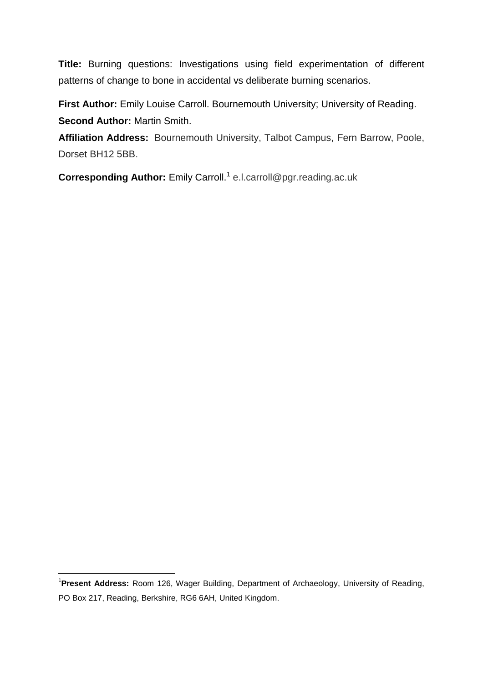**Title:** Burning questions: Investigations using field experimentation of different patterns of change to bone in accidental vs deliberate burning scenarios.

First Author: Emily Louise Carroll. Bournemouth University; University of Reading. **Second Author:** Martin Smith.

**Affiliation Address:** Bournemouth University, Talbot Campus, Fern Barrow, Poole, Dorset BH12 5BB.

**Corresponding Author:** Emily Carroll. 1 e.l.carroll@pgr.reading.ac.uk

1

<sup>1</sup> **Present Address:** Room 126, Wager Building, Department of Archaeology, University of Reading, PO Box 217, Reading, Berkshire, RG6 6AH, United Kingdom.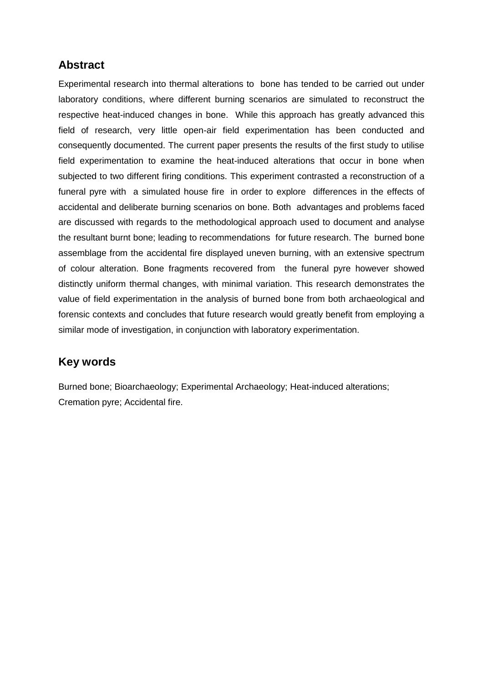## **Abstract**

Experimental research into thermal alterations to bone has tended to be carried out under laboratory conditions, where different burning scenarios are simulated to reconstruct the respective heat-induced changes in bone. While this approach has greatly advanced this field of research, very little open-air field experimentation has been conducted and consequently documented. The current paper presents the results of the first study to utilise field experimentation to examine the heat-induced alterations that occur in bone when subjected to two different firing conditions. This experiment contrasted a reconstruction of a funeral pyre with a simulated house fire in order to explore differences in the effects of accidental and deliberate burning scenarios on bone. Both advantages and problems faced are discussed with regards to the methodological approach used to document and analyse the resultant burnt bone; leading to recommendations for future research. The burned bone assemblage from the accidental fire displayed uneven burning, with an extensive spectrum of colour alteration. Bone fragments recovered from the funeral pyre however showed distinctly uniform thermal changes, with minimal variation. This research demonstrates the value of field experimentation in the analysis of burned bone from both archaeological and forensic contexts and concludes that future research would greatly benefit from employing a similar mode of investigation, in conjunction with laboratory experimentation.

# **Key words**

Burned bone; Bioarchaeology; Experimental Archaeology; Heat-induced alterations; Cremation pyre; Accidental fire.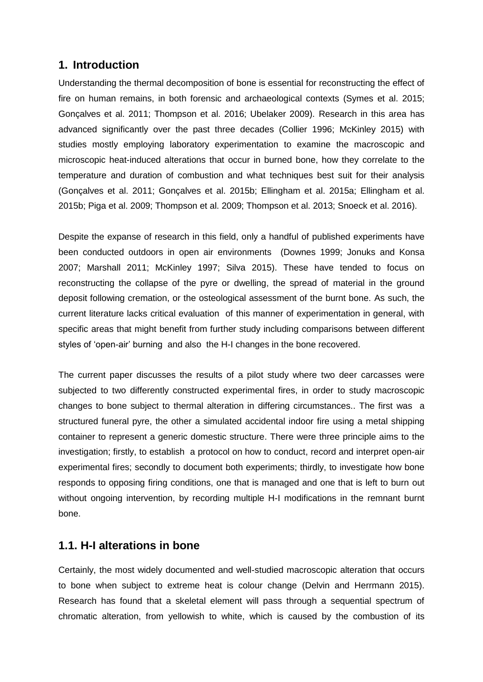## **1. Introduction**

Understanding the thermal decomposition of bone is essential for reconstructing the effect of fire on human remains, in both forensic and archaeological contexts (Symes et al. 2015; Gonçalves et al. 2011; Thompson et al. 2016; Ubelaker 2009). Research in this area has advanced significantly over the past three decades (Collier 1996; McKinley 2015) with studies mostly employing laboratory experimentation to examine the macroscopic and microscopic heat-induced alterations that occur in burned bone, how they correlate to the temperature and duration of combustion and what techniques best suit for their analysis (Gonçalves et al. 2011; Gonçalves et al. 2015b; Ellingham et al. 2015a; Ellingham et al. 2015b; Piga et al. 2009; Thompson et al. 2009; Thompson et al. 2013; Snoeck et al. 2016).

Despite the expanse of research in this field, only a handful of published experiments have been conducted outdoors in open air environments (Downes 1999; Jonuks and Konsa 2007; Marshall 2011; McKinley 1997; Silva 2015). These have tended to focus on reconstructing the collapse of the pyre or dwelling, the spread of material in the ground deposit following cremation, or the osteological assessment of the burnt bone. As such, the current literature lacks critical evaluation of this manner of experimentation in general, with specific areas that might benefit from further study including comparisons between different styles of 'open-air' burning and also the H-I changes in the bone recovered.

The current paper discusses the results of a pilot study where two deer carcasses were subjected to two differently constructed experimental fires, in order to study macroscopic changes to bone subject to thermal alteration in differing circumstances.. The first was a structured funeral pyre, the other a simulated accidental indoor fire using a metal shipping container to represent a generic domestic structure. There were three principle aims to the investigation; firstly, to establish a protocol on how to conduct, record and interpret open-air experimental fires; secondly to document both experiments; thirdly, to investigate how bone responds to opposing firing conditions, one that is managed and one that is left to burn out without ongoing intervention, by recording multiple H-I modifications in the remnant burnt bone.

### **1.1. H-I alterations in bone**

Certainly, the most widely documented and well-studied macroscopic alteration that occurs to bone when subject to extreme heat is colour change (Delvin and Herrmann 2015). Research has found that a skeletal element will pass through a sequential spectrum of chromatic alteration, from yellowish to white, which is caused by the combustion of its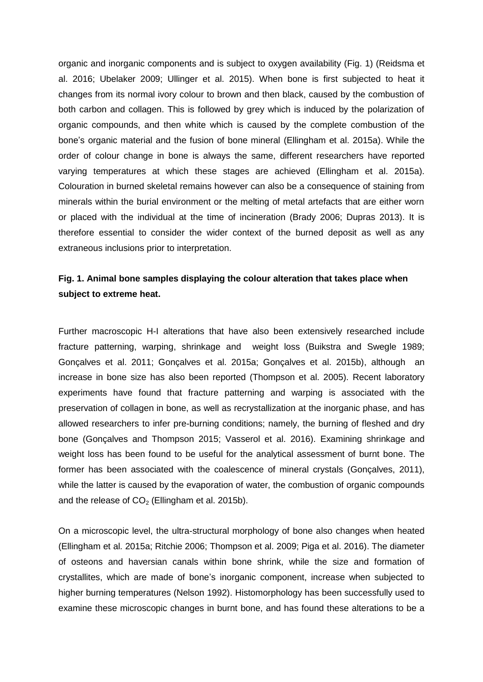organic and inorganic components and is subject to oxygen availability (Fig. 1) (Reidsma et al. 2016; Ubelaker 2009; Ullinger et al. 2015). When bone is first subjected to heat it changes from its normal ivory colour to brown and then black, caused by the combustion of both carbon and collagen. This is followed by grey which is induced by the polarization of organic compounds, and then white which is caused by the complete combustion of the bone's organic material and the fusion of bone mineral (Ellingham et al. 2015a). While the order of colour change in bone is always the same, different researchers have reported varying temperatures at which these stages are achieved (Ellingham et al. 2015a). Colouration in burned skeletal remains however can also be a consequence of staining from minerals within the burial environment or the melting of metal artefacts that are either worn or placed with the individual at the time of incineration (Brady 2006; Dupras 2013). It is therefore essential to consider the wider context of the burned deposit as well as any extraneous inclusions prior to interpretation.

## **Fig. 1. Animal bone samples displaying the colour alteration that takes place when subject to extreme heat.**

Further macroscopic H-I alterations that have also been extensively researched include fracture patterning, warping, shrinkage and weight loss (Buikstra and Swegle 1989; Gonçalves et al. 2011; Gonçalves et al. 2015a; Gonçalves et al. 2015b), although an increase in bone size has also been reported (Thompson et al. 2005). Recent laboratory experiments have found that fracture patterning and warping is associated with the preservation of collagen in bone, as well as recrystallization at the inorganic phase, and has allowed researchers to infer pre-burning conditions; namely, the burning of fleshed and dry bone (Gonçalves and Thompson 2015; Vasserol et al. 2016). Examining shrinkage and weight loss has been found to be useful for the analytical assessment of burnt bone. The former has been associated with the coalescence of mineral crystals (Gonçalves, 2011), while the latter is caused by the evaporation of water, the combustion of organic compounds and the release of  $CO<sub>2</sub>$  (Ellingham et al. 2015b).

On a microscopic level, the ultra-structural morphology of bone also changes when heated (Ellingham et al. 2015a; Ritchie 2006; Thompson et al. 2009; Piga et al. 2016). The diameter of osteons and haversian canals within bone shrink, while the size and formation of crystallites, which are made of bone's inorganic component, increase when subjected to higher burning temperatures (Nelson 1992). Histomorphology has been successfully used to examine these microscopic changes in burnt bone, and has found these alterations to be a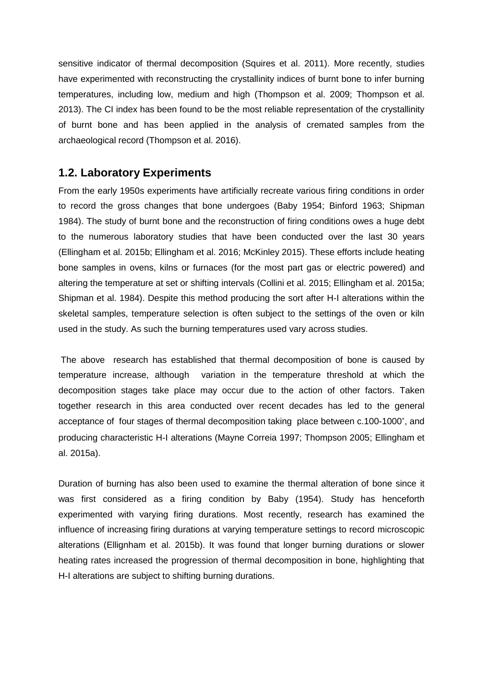sensitive indicator of thermal decomposition (Squires et al. 2011). More recently, studies have experimented with reconstructing the crystallinity indices of burnt bone to infer burning temperatures, including low, medium and high (Thompson et al. 2009; Thompson et al. 2013). The CI index has been found to be the most reliable representation of the crystallinity of burnt bone and has been applied in the analysis of cremated samples from the archaeological record (Thompson et al. 2016).

### **1.2. Laboratory Experiments**

From the early 1950s experiments have artificially recreate various firing conditions in order to record the gross changes that bone undergoes (Baby 1954; Binford 1963; Shipman 1984). The study of burnt bone and the reconstruction of firing conditions owes a huge debt to the numerous laboratory studies that have been conducted over the last 30 years (Ellingham et al. 2015b; Ellingham et al. 2016; McKinley 2015). These efforts include heating bone samples in ovens, kilns or furnaces (for the most part gas or electric powered) and altering the temperature at set or shifting intervals (Collini et al. 2015; Ellingham et al. 2015a; Shipman et al. 1984). Despite this method producing the sort after H-I alterations within the skeletal samples, temperature selection is often subject to the settings of the oven or kiln used in the study. As such the burning temperatures used vary across studies.

The above research has established that thermal decomposition of bone is caused by temperature increase, although variation in the temperature threshold at which the decomposition stages take place may occur due to the action of other factors. Taken together research in this area conducted over recent decades has led to the general acceptance of four stages of thermal decomposition taking place between c.100-1000˚, and producing characteristic H-I alterations (Mayne Correia 1997; Thompson 2005; Ellingham et al. 2015a).

Duration of burning has also been used to examine the thermal alteration of bone since it was first considered as a firing condition by Baby (1954). Study has henceforth experimented with varying firing durations. Most recently, research has examined the influence of increasing firing durations at varying temperature settings to record microscopic alterations (Ellignham et al. 2015b). It was found that longer burning durations or slower heating rates increased the progression of thermal decomposition in bone, highlighting that H-I alterations are subject to shifting burning durations.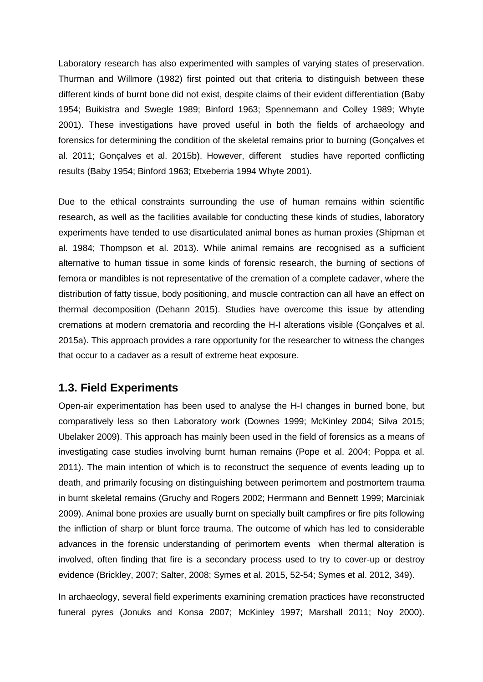Laboratory research has also experimented with samples of varying states of preservation. Thurman and Willmore (1982) first pointed out that criteria to distinguish between these different kinds of burnt bone did not exist, despite claims of their evident differentiation (Baby 1954; Buikistra and Swegle 1989; Binford 1963; Spennemann and Colley 1989; Whyte 2001). These investigations have proved useful in both the fields of archaeology and forensics for determining the condition of the skeletal remains prior to burning (Gonçalves et al. 2011; Gonçalves et al. 2015b). However, different studies have reported conflicting results (Baby 1954; Binford 1963; Etxeberria 1994 Whyte 2001).

Due to the ethical constraints surrounding the use of human remains within scientific research, as well as the facilities available for conducting these kinds of studies, laboratory experiments have tended to use disarticulated animal bones as human proxies (Shipman et al. 1984; Thompson et al. 2013). While animal remains are recognised as a sufficient alternative to human tissue in some kinds of forensic research, the burning of sections of femora or mandibles is not representative of the cremation of a complete cadaver, where the distribution of fatty tissue, body positioning, and muscle contraction can all have an effect on thermal decomposition (Dehann 2015). Studies have overcome this issue by attending cremations at modern crematoria and recording the H-I alterations visible (Gonçalves et al. 2015a). This approach provides a rare opportunity for the researcher to witness the changes that occur to a cadaver as a result of extreme heat exposure.

#### **1.3. Field Experiments**

Open-air experimentation has been used to analyse the H-I changes in burned bone, but comparatively less so then Laboratory work (Downes 1999; McKinley 2004; Silva 2015; Ubelaker 2009). This approach has mainly been used in the field of forensics as a means of investigating case studies involving burnt human remains (Pope et al. 2004; Poppa et al. 2011). The main intention of which is to reconstruct the sequence of events leading up to death, and primarily focusing on distinguishing between perimortem and postmortem trauma in burnt skeletal remains (Gruchy and Rogers 2002; Herrmann and Bennett 1999; Marciniak 2009). Animal bone proxies are usually burnt on specially built campfires or fire pits following the infliction of sharp or blunt force trauma. The outcome of which has led to considerable advances in the forensic understanding of perimortem events when thermal alteration is involved, often finding that fire is a secondary process used to try to cover-up or destroy evidence (Brickley, 2007; Salter, 2008; Symes et al. 2015, 52-54; Symes et al. 2012, 349).

In archaeology, several field experiments examining cremation practices have reconstructed funeral pyres (Jonuks and Konsa 2007; McKinley 1997; Marshall 2011; Noy 2000).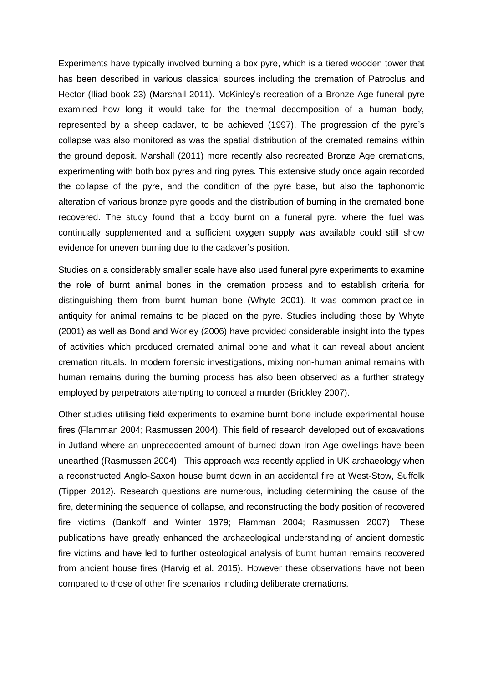Experiments have typically involved burning a box pyre, which is a tiered wooden tower that has been described in various classical sources including the cremation of Patroclus and Hector (Iliad book 23) (Marshall 2011). McKinley's recreation of a Bronze Age funeral pyre examined how long it would take for the thermal decomposition of a human body, represented by a sheep cadaver, to be achieved (1997). The progression of the pyre's collapse was also monitored as was the spatial distribution of the cremated remains within the ground deposit. Marshall (2011) more recently also recreated Bronze Age cremations, experimenting with both box pyres and ring pyres. This extensive study once again recorded the collapse of the pyre, and the condition of the pyre base, but also the taphonomic alteration of various bronze pyre goods and the distribution of burning in the cremated bone recovered. The study found that a body burnt on a funeral pyre, where the fuel was continually supplemented and a sufficient oxygen supply was available could still show evidence for uneven burning due to the cadaver's position.

Studies on a considerably smaller scale have also used funeral pyre experiments to examine the role of burnt animal bones in the cremation process and to establish criteria for distinguishing them from burnt human bone (Whyte 2001). It was common practice in antiquity for animal remains to be placed on the pyre. Studies including those by Whyte (2001) as well as Bond and Worley (2006) have provided considerable insight into the types of activities which produced cremated animal bone and what it can reveal about ancient cremation rituals. In modern forensic investigations, mixing non-human animal remains with human remains during the burning process has also been observed as a further strategy employed by perpetrators attempting to conceal a murder (Brickley 2007).

Other studies utilising field experiments to examine burnt bone include experimental house fires (Flamman 2004; Rasmussen 2004). This field of research developed out of excavations in Jutland where an unprecedented amount of burned down Iron Age dwellings have been unearthed (Rasmussen 2004). This approach was recently applied in UK archaeology when a reconstructed Anglo-Saxon house burnt down in an accidental fire at West-Stow, Suffolk (Tipper 2012). Research questions are numerous, including determining the cause of the fire, determining the sequence of collapse, and reconstructing the body position of recovered fire victims (Bankoff and Winter 1979; Flamman 2004; Rasmussen 2007). These publications have greatly enhanced the archaeological understanding of ancient domestic fire victims and have led to further osteological analysis of burnt human remains recovered from ancient house fires (Harvig et al. 2015). However these observations have not been compared to those of other fire scenarios including deliberate cremations.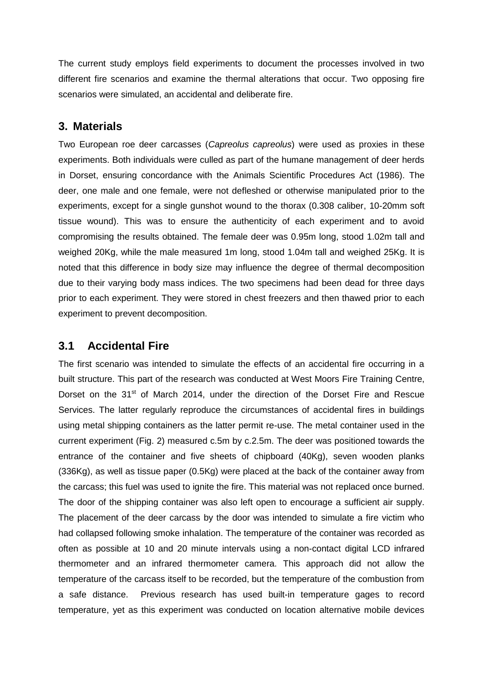The current study employs field experiments to document the processes involved in two different fire scenarios and examine the thermal alterations that occur. Two opposing fire scenarios were simulated, an accidental and deliberate fire.

## **3. Materials**

Two European roe deer carcasses (*Capreolus capreolus*) were used as proxies in these experiments. Both individuals were culled as part of the humane management of deer herds in Dorset, ensuring concordance with the Animals Scientific Procedures Act (1986). The deer, one male and one female, were not defleshed or otherwise manipulated prior to the experiments, except for a single gunshot wound to the thorax (0.308 caliber, 10-20mm soft tissue wound). This was to ensure the authenticity of each experiment and to avoid compromising the results obtained. The female deer was 0.95m long, stood 1.02m tall and weighed 20Kg, while the male measured 1m long, stood 1.04m tall and weighed 25Kg. It is noted that this difference in body size may influence the degree of thermal decomposition due to their varying body mass indices. The two specimens had been dead for three days prior to each experiment. They were stored in chest freezers and then thawed prior to each experiment to prevent decomposition.

## **3.1 Accidental Fire**

The first scenario was intended to simulate the effects of an accidental fire occurring in a built structure. This part of the research was conducted at West Moors Fire Training Centre, Dorset on the 31<sup>st</sup> of March 2014, under the direction of the Dorset Fire and Rescue Services. The latter regularly reproduce the circumstances of accidental fires in buildings using metal shipping containers as the latter permit re-use. The metal container used in the current experiment (Fig. 2) measured c.5m by c.2.5m. The deer was positioned towards the entrance of the container and five sheets of chipboard (40Kg), seven wooden planks (336Kg), as well as tissue paper (0.5Kg) were placed at the back of the container away from the carcass; this fuel was used to ignite the fire. This material was not replaced once burned. The door of the shipping container was also left open to encourage a sufficient air supply. The placement of the deer carcass by the door was intended to simulate a fire victim who had collapsed following smoke inhalation. The temperature of the container was recorded as often as possible at 10 and 20 minute intervals using a non-contact digital LCD infrared thermometer and an infrared thermometer camera. This approach did not allow the temperature of the carcass itself to be recorded, but the temperature of the combustion from a safe distance. Previous research has used built-in temperature gages to record temperature, yet as this experiment was conducted on location alternative mobile devices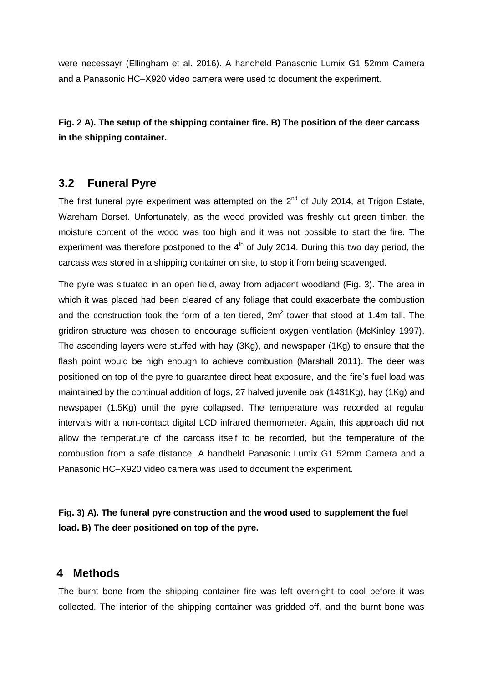were necessayr (Ellingham et al. 2016). A handheld Panasonic Lumix G1 52mm Camera and a Panasonic HC–X920 video camera were used to document the experiment.

**Fig. 2 A). The setup of the shipping container fire. B) The position of the deer carcass in the shipping container.**

### **3.2 Funeral Pyre**

The first funeral pyre experiment was attempted on the  $2<sup>nd</sup>$  of July 2014, at Trigon Estate, Wareham Dorset. Unfortunately, as the wood provided was freshly cut green timber, the moisture content of the wood was too high and it was not possible to start the fire. The experiment was therefore postponed to the  $4<sup>th</sup>$  of July 2014. During this two day period, the carcass was stored in a shipping container on site, to stop it from being scavenged.

The pyre was situated in an open field, away from adjacent woodland (Fig. 3). The area in which it was placed had been cleared of any foliage that could exacerbate the combustion and the construction took the form of a ten-tiered,  $2m^2$  tower that stood at 1.4m tall. The gridiron structure was chosen to encourage sufficient oxygen ventilation (McKinley 1997). The ascending layers were stuffed with hay (3Kg), and newspaper (1Kg) to ensure that the flash point would be high enough to achieve combustion (Marshall 2011). The deer was positioned on top of the pyre to guarantee direct heat exposure, and the fire's fuel load was maintained by the continual addition of logs, 27 halved juvenile oak (1431Kg), hay (1Kg) and newspaper (1.5Kg) until the pyre collapsed. The temperature was recorded at regular intervals with a non-contact digital LCD infrared thermometer. Again, this approach did not allow the temperature of the carcass itself to be recorded, but the temperature of the combustion from a safe distance. A handheld Panasonic Lumix G1 52mm Camera and a Panasonic HC–X920 video camera was used to document the experiment.

**Fig. 3) A). The funeral pyre construction and the wood used to supplement the fuel load. B) The deer positioned on top of the pyre.**

#### **4 Methods**

The burnt bone from the shipping container fire was left overnight to cool before it was collected. The interior of the shipping container was gridded off, and the burnt bone was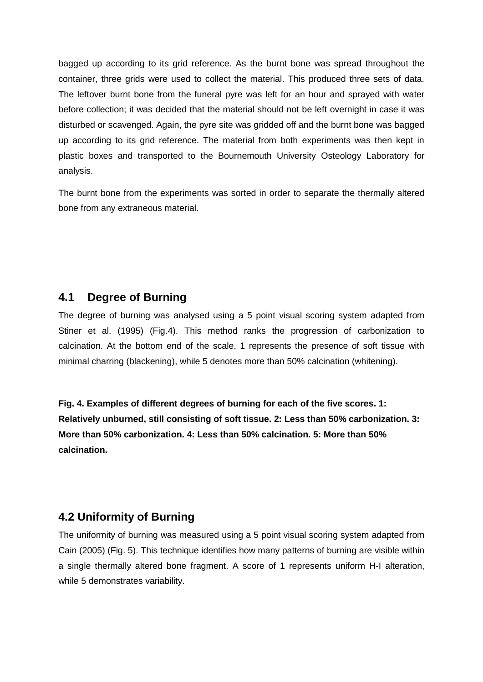bagged up according to its grid reference. As the burnt bone was spread throughout the container, three grids were used to collect the material. This produced three sets of data. The leftover burnt bone from the funeral pyre was left for an hour and sprayed with water before collection; it was decided that the material should not be left overnight in case it was disturbed or scavenged. Again, the pyre site was gridded off and the burnt bone was bagged up according to its grid reference. The material from both experiments was then kept in plastic boxes and transported to the Bournemouth University Osteology Laboratory for analysis.

The burnt bone from the experiments was sorted in order to separate the thermally altered bone from any extraneous material.

## **4.1 Degree of Burning**

The degree of burning was analysed using a 5 point visual scoring system adapted from Stiner et al. (1995) (Fig.4). This method ranks the progression of carbonization to calcination. At the bottom end of the scale, 1 represents the presence of soft tissue with minimal charring (blackening), while 5 denotes more than 50% calcination (whitening).

**Fig. 4. Examples of different degrees of burning for each of the five scores. 1: Relatively unburned, still consisting of soft tissue. 2: Less than 50% carbonization. 3: More than 50% carbonization. 4: Less than 50% calcination. 5: More than 50% calcination.**

### **4.2 Uniformity of Burning**

The uniformity of burning was measured using a 5 point visual scoring system adapted from Cain (2005) (Fig. 5). This technique identifies how many patterns of burning are visible within a single thermally altered bone fragment. A score of 1 represents uniform H-I alteration, while 5 demonstrates variability.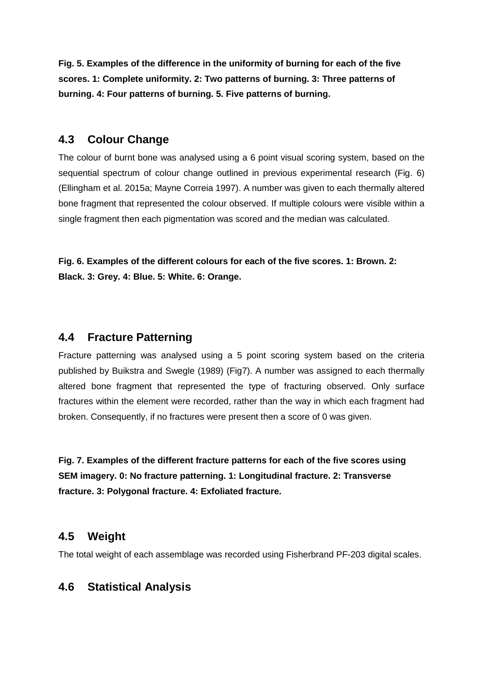**Fig. 5. Examples of the difference in the uniformity of burning for each of the five scores. 1: Complete uniformity. 2: Two patterns of burning. 3: Three patterns of burning. 4: Four patterns of burning. 5. Five patterns of burning.**

## **4.3 Colour Change**

The colour of burnt bone was analysed using a 6 point visual scoring system, based on the sequential spectrum of colour change outlined in previous experimental research (Fig. 6) (Ellingham et al. 2015a; Mayne Correia 1997). A number was given to each thermally altered bone fragment that represented the colour observed. If multiple colours were visible within a single fragment then each pigmentation was scored and the median was calculated.

**Fig. 6. Examples of the different colours for each of the five scores. 1: Brown. 2: Black. 3: Grey. 4: Blue. 5: White. 6: Orange.**

## **4.4 Fracture Patterning**

Fracture patterning was analysed using a 5 point scoring system based on the criteria published by Buikstra and Swegle (1989) (Fig7). A number was assigned to each thermally altered bone fragment that represented the type of fracturing observed. Only surface fractures within the element were recorded, rather than the way in which each fragment had broken. Consequently, if no fractures were present then a score of 0 was given.

**Fig. 7. Examples of the different fracture patterns for each of the five scores using SEM imagery. 0: No fracture patterning. 1: Longitudinal fracture. 2: Transverse fracture. 3: Polygonal fracture. 4: Exfoliated fracture.**

## **4.5 Weight**

The total weight of each assemblage was recorded using Fisherbrand PF-203 digital scales.

# **4.6 Statistical Analysis**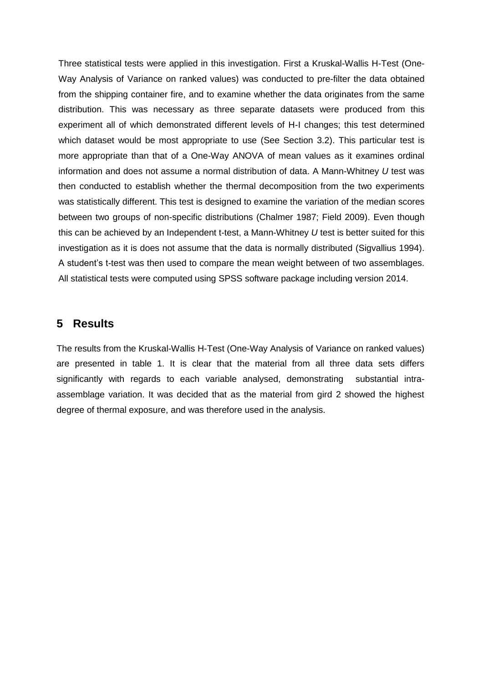Three statistical tests were applied in this investigation. First a Kruskal-Wallis H-Test (One-Way Analysis of Variance on ranked values) was conducted to pre-filter the data obtained from the shipping container fire, and to examine whether the data originates from the same distribution. This was necessary as three separate datasets were produced from this experiment all of which demonstrated different levels of H-I changes; this test determined which dataset would be most appropriate to use (See Section 3.2). This particular test is more appropriate than that of a One-Way ANOVA of mean values as it examines ordinal information and does not assume a normal distribution of data. A Mann-Whitney *U* test was then conducted to establish whether the thermal decomposition from the two experiments was statistically different. This test is designed to examine the variation of the median scores between two groups of non-specific distributions (Chalmer 1987; Field 2009). Even though this can be achieved by an Independent t-test, a Mann-Whitney *U* test is better suited for this investigation as it is does not assume that the data is normally distributed (Sigvallius 1994). A student's t-test was then used to compare the mean weight between of two assemblages. All statistical tests were computed using SPSS software package including version 2014.

#### **5 Results**

The results from the Kruskal-Wallis H-Test (One-Way Analysis of Variance on ranked values) are presented in table 1. It is clear that the material from all three data sets differs significantly with regards to each variable analysed, demonstrating substantial intraassemblage variation. It was decided that as the material from gird 2 showed the highest degree of thermal exposure, and was therefore used in the analysis.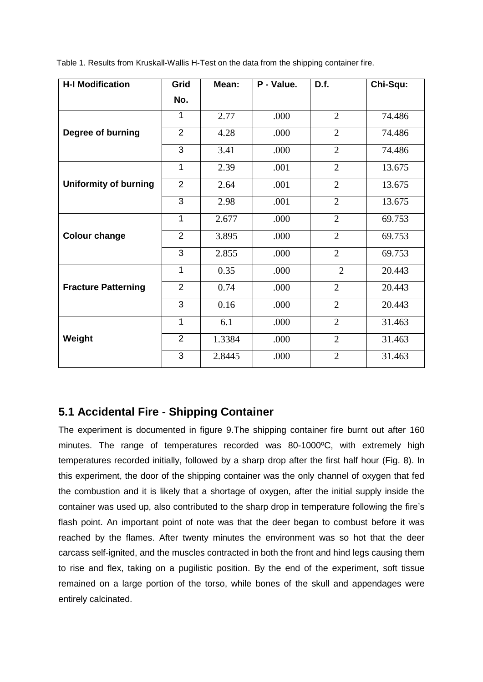Table 1. Results from Kruskall-Wallis H-Test on the data from the shipping container fire.

| <b>H-I Modification</b>      | Grid           | Mean:  | P - Value. | D.f.           | Chi-Squ: |
|------------------------------|----------------|--------|------------|----------------|----------|
|                              | No.            |        |            |                |          |
|                              | 1              | 2.77   | .000       | $\overline{2}$ | 74.486   |
| Degree of burning            | $\overline{2}$ | 4.28   | .000       | $\overline{2}$ | 74.486   |
|                              | 3              | 3.41   | .000       | $\overline{2}$ | 74.486   |
|                              | 1              | 2.39   | .001       | $\overline{2}$ | 13.675   |
| <b>Uniformity of burning</b> | $\overline{2}$ | 2.64   | .001       | $\overline{2}$ | 13.675   |
|                              | 3              | 2.98   | .001       | $\overline{2}$ | 13.675   |
|                              | 1              | 2.677  | .000       | $\overline{2}$ | 69.753   |
| <b>Colour change</b>         | 2              | 3.895  | .000       | $\overline{2}$ | 69.753   |
|                              | 3              | 2.855  | .000       | $\overline{2}$ | 69.753   |
|                              | 1              | 0.35   | .000       | $\overline{2}$ | 20.443   |
| <b>Fracture Patterning</b>   | $\overline{2}$ | 0.74   | .000       | $\overline{2}$ | 20.443   |
|                              | 3              | 0.16   | .000       | $\overline{2}$ | 20.443   |
|                              | 1              | 6.1    | .000       | $\overline{2}$ | 31.463   |
| Weight                       | $\overline{2}$ | 1.3384 | .000       | $\overline{2}$ | 31.463   |
|                              | 3              | 2.8445 | .000       | $\overline{2}$ | 31.463   |

# **5.1 Accidental Fire - Shipping Container**

The experiment is documented in figure 9.The shipping container fire burnt out after 160 minutes. The range of temperatures recorded was 80-1000ºC, with extremely high temperatures recorded initially, followed by a sharp drop after the first half hour (Fig. 8). In this experiment, the door of the shipping container was the only channel of oxygen that fed the combustion and it is likely that a shortage of oxygen, after the initial supply inside the container was used up, also contributed to the sharp drop in temperature following the fire's flash point. An important point of note was that the deer began to combust before it was reached by the flames. After twenty minutes the environment was so hot that the deer carcass self-ignited, and the muscles contracted in both the front and hind legs causing them to rise and flex, taking on a pugilistic position. By the end of the experiment, soft tissue remained on a large portion of the torso, while bones of the skull and appendages were entirely calcinated.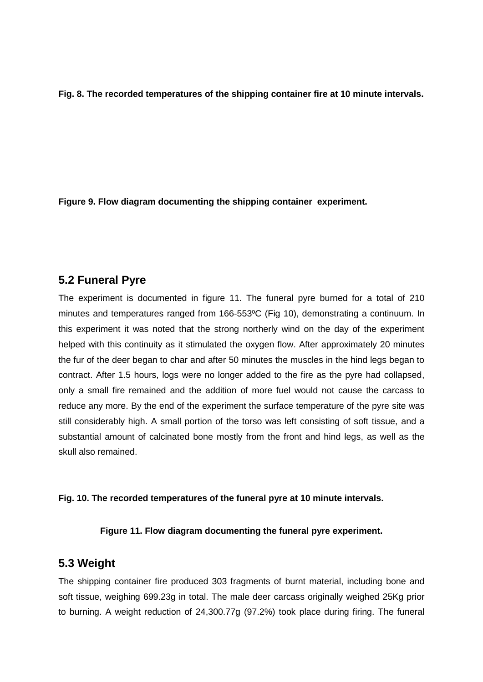**Fig. 8. The recorded temperatures of the shipping container fire at 10 minute intervals.**

**Figure 9. Flow diagram documenting the shipping container experiment.**

### **5.2 Funeral Pyre**

The experiment is documented in figure 11. The funeral pyre burned for a total of 210 minutes and temperatures ranged from 166-553ºC (Fig 10), demonstrating a continuum. In this experiment it was noted that the strong northerly wind on the day of the experiment helped with this continuity as it stimulated the oxygen flow. After approximately 20 minutes the fur of the deer began to char and after 50 minutes the muscles in the hind legs began to contract. After 1.5 hours, logs were no longer added to the fire as the pyre had collapsed, only a small fire remained and the addition of more fuel would not cause the carcass to reduce any more. By the end of the experiment the surface temperature of the pyre site was still considerably high. A small portion of the torso was left consisting of soft tissue, and a substantial amount of calcinated bone mostly from the front and hind legs, as well as the skull also remained.

#### **Fig. 10. The recorded temperatures of the funeral pyre at 10 minute intervals.**

#### **Figure 11. Flow diagram documenting the funeral pyre experiment.**

### **5.3 Weight**

The shipping container fire produced 303 fragments of burnt material, including bone and soft tissue, weighing 699.23g in total. The male deer carcass originally weighed 25Kg prior to burning. A weight reduction of 24,300.77g (97.2%) took place during firing. The funeral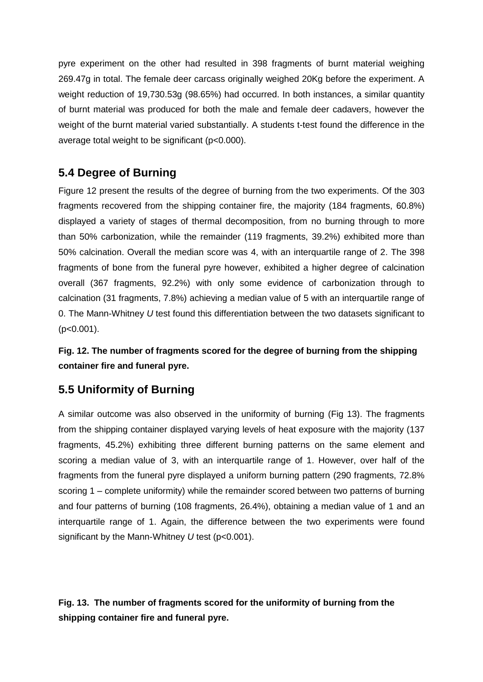pyre experiment on the other had resulted in 398 fragments of burnt material weighing 269.47g in total. The female deer carcass originally weighed 20Kg before the experiment. A weight reduction of 19,730.53g (98.65%) had occurred. In both instances, a similar quantity of burnt material was produced for both the male and female deer cadavers, however the weight of the burnt material varied substantially. A students t-test found the difference in the average total weight to be significant (p<0.000).

# **5.4 Degree of Burning**

Figure 12 present the results of the degree of burning from the two experiments. Of the 303 fragments recovered from the shipping container fire, the majority (184 fragments, 60.8%) displayed a variety of stages of thermal decomposition, from no burning through to more than 50% carbonization, while the remainder (119 fragments, 39.2%) exhibited more than 50% calcination. Overall the median score was 4, with an interquartile range of 2. The 398 fragments of bone from the funeral pyre however, exhibited a higher degree of calcination overall (367 fragments, 92.2%) with only some evidence of carbonization through to calcination (31 fragments, 7.8%) achieving a median value of 5 with an interquartile range of 0. The Mann-Whitney *U* test found this differentiation between the two datasets significant to (p<0.001).

**Fig. 12. The number of fragments scored for the degree of burning from the shipping container fire and funeral pyre.**

# **5.5 Uniformity of Burning**

A similar outcome was also observed in the uniformity of burning (Fig 13). The fragments from the shipping container displayed varying levels of heat exposure with the majority (137 fragments, 45.2%) exhibiting three different burning patterns on the same element and scoring a median value of 3, with an interquartile range of 1. However, over half of the fragments from the funeral pyre displayed a uniform burning pattern (290 fragments, 72.8% scoring 1 – complete uniformity) while the remainder scored between two patterns of burning and four patterns of burning (108 fragments, 26.4%), obtaining a median value of 1 and an interquartile range of 1. Again, the difference between the two experiments were found significant by the Mann-Whitney *U* test (p<0.001).

**Fig. 13. The number of fragments scored for the uniformity of burning from the shipping container fire and funeral pyre.**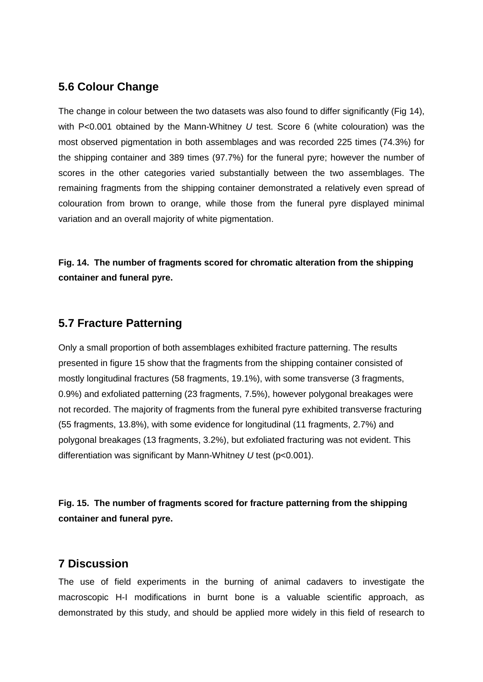# **5.6 Colour Change**

The change in colour between the two datasets was also found to differ significantly (Fig 14), with P<0.001 obtained by the Mann-Whitney *U* test. Score 6 (white colouration) was the most observed pigmentation in both assemblages and was recorded 225 times (74.3%) for the shipping container and 389 times (97.7%) for the funeral pyre; however the number of scores in the other categories varied substantially between the two assemblages. The remaining fragments from the shipping container demonstrated a relatively even spread of colouration from brown to orange, while those from the funeral pyre displayed minimal variation and an overall majority of white pigmentation.

**Fig. 14. The number of fragments scored for chromatic alteration from the shipping container and funeral pyre.**

## **5.7 Fracture Patterning**

Only a small proportion of both assemblages exhibited fracture patterning. The results presented in figure 15 show that the fragments from the shipping container consisted of mostly longitudinal fractures (58 fragments, 19.1%), with some transverse (3 fragments, 0.9%) and exfoliated patterning (23 fragments, 7.5%), however polygonal breakages were not recorded. The majority of fragments from the funeral pyre exhibited transverse fracturing (55 fragments, 13.8%), with some evidence for longitudinal (11 fragments, 2.7%) and polygonal breakages (13 fragments, 3.2%), but exfoliated fracturing was not evident. This differentiation was significant by Mann-Whitney *U* test (p<0.001).

**Fig. 15. The number of fragments scored for fracture patterning from the shipping container and funeral pyre.**

### **7 Discussion**

The use of field experiments in the burning of animal cadavers to investigate the macroscopic H-I modifications in burnt bone is a valuable scientific approach, as demonstrated by this study, and should be applied more widely in this field of research to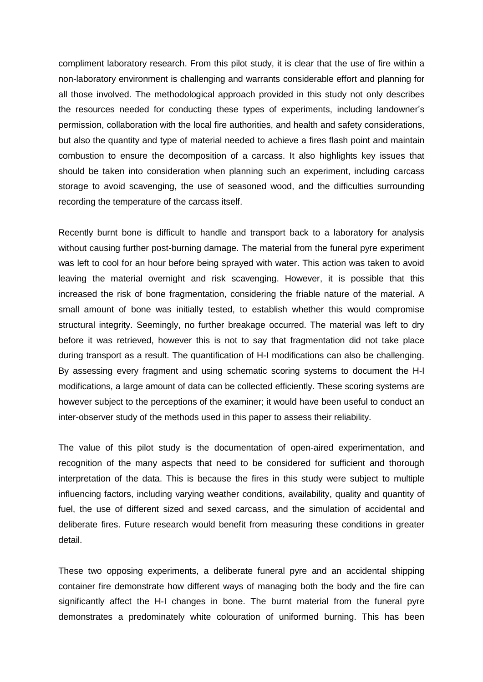compliment laboratory research. From this pilot study, it is clear that the use of fire within a non-laboratory environment is challenging and warrants considerable effort and planning for all those involved. The methodological approach provided in this study not only describes the resources needed for conducting these types of experiments, including landowner's permission, collaboration with the local fire authorities, and health and safety considerations, but also the quantity and type of material needed to achieve a fires flash point and maintain combustion to ensure the decomposition of a carcass. It also highlights key issues that should be taken into consideration when planning such an experiment, including carcass storage to avoid scavenging, the use of seasoned wood, and the difficulties surrounding recording the temperature of the carcass itself.

Recently burnt bone is difficult to handle and transport back to a laboratory for analysis without causing further post-burning damage. The material from the funeral pyre experiment was left to cool for an hour before being sprayed with water. This action was taken to avoid leaving the material overnight and risk scavenging. However, it is possible that this increased the risk of bone fragmentation, considering the friable nature of the material. A small amount of bone was initially tested, to establish whether this would compromise structural integrity. Seemingly, no further breakage occurred. The material was left to dry before it was retrieved, however this is not to say that fragmentation did not take place during transport as a result. The quantification of H-I modifications can also be challenging. By assessing every fragment and using schematic scoring systems to document the H-I modifications, a large amount of data can be collected efficiently. These scoring systems are however subject to the perceptions of the examiner; it would have been useful to conduct an inter-observer study of the methods used in this paper to assess their reliability.

The value of this pilot study is the documentation of open-aired experimentation, and recognition of the many aspects that need to be considered for sufficient and thorough interpretation of the data. This is because the fires in this study were subject to multiple influencing factors, including varying weather conditions, availability, quality and quantity of fuel, the use of different sized and sexed carcass, and the simulation of accidental and deliberate fires. Future research would benefit from measuring these conditions in greater detail.

These two opposing experiments, a deliberate funeral pyre and an accidental shipping container fire demonstrate how different ways of managing both the body and the fire can significantly affect the H-I changes in bone. The burnt material from the funeral pyre demonstrates a predominately white colouration of uniformed burning. This has been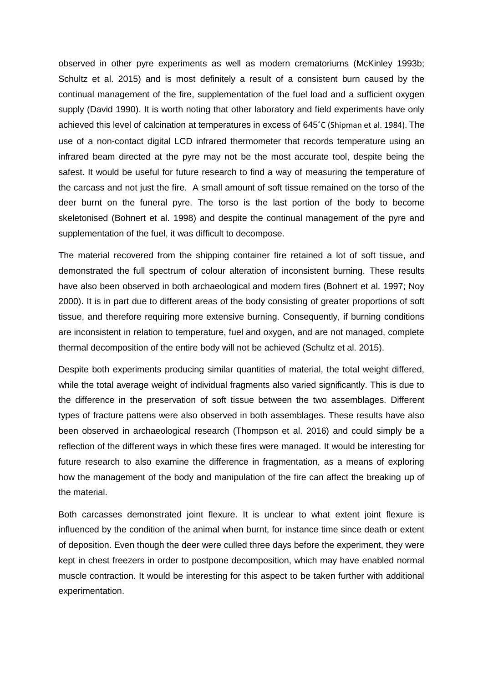observed in other pyre experiments as well as modern crematoriums (McKinley 1993b; Schultz et al. 2015) and is most definitely a result of a consistent burn caused by the continual management of the fire, supplementation of the fuel load and a sufficient oxygen supply (David 1990). It is worth noting that other laboratory and field experiments have only achieved this level of calcination at temperatures in excess of 645˚C (Shipman et al. 1984). The use of a non-contact digital LCD infrared thermometer that records temperature using an infrared beam directed at the pyre may not be the most accurate tool, despite being the safest. It would be useful for future research to find a way of measuring the temperature of the carcass and not just the fire. A small amount of soft tissue remained on the torso of the deer burnt on the funeral pyre. The torso is the last portion of the body to become skeletonised (Bohnert et al. 1998) and despite the continual management of the pyre and supplementation of the fuel, it was difficult to decompose.

The material recovered from the shipping container fire retained a lot of soft tissue, and demonstrated the full spectrum of colour alteration of inconsistent burning. These results have also been observed in both archaeological and modern fires (Bohnert et al. 1997; Noy 2000). It is in part due to different areas of the body consisting of greater proportions of soft tissue, and therefore requiring more extensive burning. Consequently, if burning conditions are inconsistent in relation to temperature, fuel and oxygen, and are not managed, complete thermal decomposition of the entire body will not be achieved (Schultz et al. 2015).

Despite both experiments producing similar quantities of material, the total weight differed, while the total average weight of individual fragments also varied significantly. This is due to the difference in the preservation of soft tissue between the two assemblages. Different types of fracture pattens were also observed in both assemblages. These results have also been observed in archaeological research (Thompson et al. 2016) and could simply be a reflection of the different ways in which these fires were managed. It would be interesting for future research to also examine the difference in fragmentation, as a means of exploring how the management of the body and manipulation of the fire can affect the breaking up of the material.

Both carcasses demonstrated joint flexure. It is unclear to what extent joint flexure is influenced by the condition of the animal when burnt, for instance time since death or extent of deposition. Even though the deer were culled three days before the experiment, they were kept in chest freezers in order to postpone decomposition, which may have enabled normal muscle contraction. It would be interesting for this aspect to be taken further with additional experimentation.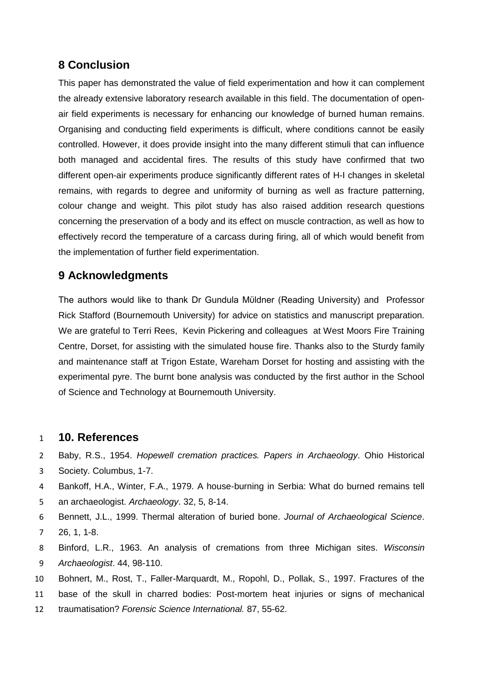# **8 Conclusion**

This paper has demonstrated the value of field experimentation and how it can complement the already extensive laboratory research available in this field. The documentation of openair field experiments is necessary for enhancing our knowledge of burned human remains. Organising and conducting field experiments is difficult, where conditions cannot be easily controlled. However, it does provide insight into the many different stimuli that can influence both managed and accidental fires. The results of this study have confirmed that two different open-air experiments produce significantly different rates of H-I changes in skeletal remains, with regards to degree and uniformity of burning as well as fracture patterning, colour change and weight. This pilot study has also raised addition research questions concerning the preservation of a body and its effect on muscle contraction, as well as how to effectively record the temperature of a carcass during firing, all of which would benefit from the implementation of further field experimentation.

## **9 Acknowledgments**

The authors would like to thank Dr Gundula Mϋldner (Reading University) and Professor Rick Stafford (Bournemouth University) for advice on statistics and manuscript preparation. We are grateful to Terri Rees, Kevin Pickering and colleagues at West Moors Fire Training Centre, Dorset, for assisting with the simulated house fire. Thanks also to the Sturdy family and maintenance staff at Trigon Estate, Wareham Dorset for hosting and assisting with the experimental pyre. The burnt bone analysis was conducted by the first author in the School of Science and Technology at Bournemouth University.

#### 1 **10. References**

- 2 Baby, R.S., 1954. *Hopewell cremation practices. Papers in Archaeology*. Ohio Historical
- 3 Society. Columbus, 1-7.
- 4 Bankoff, H.A., Winter, F.A., 1979. A house-burning in Serbia: What do burned remains tell
- 5 an archaeologist. *Archaeology*. 32, 5, 8-14.
- 6 Bennett, J.L., 1999. Thermal alteration of buried bone. *Journal of Archaeological Science*. 7 26, 1, 1-8.
- 8 Binford, L.R., 1963. An analysis of cremations from three Michigan sites. *Wisconsin*  9 *Archaeologist*. 44, 98-110.
- 10 Bohnert, M., Rost, T., Faller-Marquardt, M., Ropohl, D., Pollak, S., 1997. Fractures of the
- 11 base of the skull in charred bodies: Post-mortem heat injuries or signs of mechanical
- 12 traumatisation? *Forensic Science International.* 87, 55-62.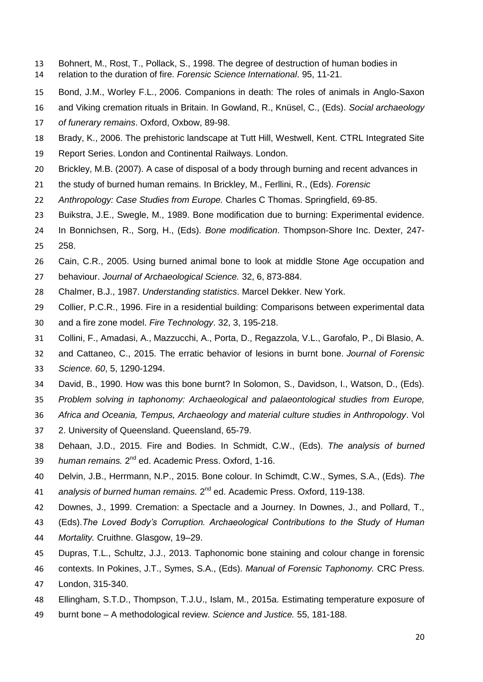- Bohnert, M., Rost, T., Pollack, S., 1998. The degree of destruction of human bodies in relation to the duration of fire. *Forensic Science International*. 95, 11-21.
- Bond, J.M., Worley F.L., 2006. Companions in death: The roles of animals in Anglo-Saxon
- and Viking cremation rituals in Britain. In Gowland, R., Knüsel, C., (Eds). *Social archaeology*
- *of funerary remains*. Oxford, Oxbow, 89-98.
- Brady, K., 2006. The prehistoric landscape at Tutt Hill, Westwell, Kent. CTRL Integrated Site
- Report Series. London and Continental Railways. London.
- Brickley, M.B. (2007). A case of disposal of a body through burning and recent advances in
- the study of burned human remains. In Brickley, M., Ferllini, R., (Eds). *Forensic*
- *Anthropology: Case Studies from Europe.* Charles C Thomas. Springfield, 69-85.
- Buikstra, J.E., Swegle, M., 1989. Bone modification due to burning: Experimental evidence.
- In Bonnichsen, R., Sorg, H., (Eds). *Bone modification*. Thompson-Shore Inc. Dexter, 247- 258.
- Cain, C.R., 2005. Using burned animal bone to look at middle Stone Age occupation and
- behaviour. *Journal of Archaeological Science.* 32, 6, 873-884.
- Chalmer, B.J., 1987. *Understanding statistics*. Marcel Dekker. New York.
- Collier, P.C.R., 1996. Fire in a residential building: Comparisons between experimental data
- and a fire zone model. *Fire Technology*. 32, 3, 195-218.
- Collini, F., Amadasi, A., Mazzucchi, A., Porta, D., Regazzola, V.L., Garofalo, P., Di Blasio, A.
- and Cattaneo, C., 2015. The erratic behavior of lesions in burnt bone. *Journal of Forensic Science. 60*, 5, 1290-1294.
- David, B., 1990. How was this bone burnt? In Solomon, S., Davidson, I., Watson, D., (Eds).
- *Problem solving in taphonomy: Archaeological and palaeontological studies from Europe,*
- *Africa and Oceania, Tempus, Archaeology and material culture studies in Anthropology*. Vol
- 2. University of Queensland. Queensland, 65-79.
- Dehaan, J.D., 2015. Fire and Bodies. In Schmidt, C.W., (Eds). *The analysis of burned*  39 human remains. 2<sup>nd</sup> ed. Academic Press. Oxford, 1-16.
- Delvin, J.B., Herrmann, N.P., 2015. Bone colour. In Schimdt, C.W., Symes, S.A., (Eds). *The*  41 analysis of burned human remains. 2<sup>nd</sup> ed. Academic Press. Oxford, 119-138.
- Downes, J., 1999. Cremation: a Spectacle and a Journey. In Downes, J., and Pollard, T.,
- (Eds).*The Loved Body's Corruption. Archaeological Contributions to the Study of Human*
- *Mortality.* Cruithne. Glasgow, 19–29.
- Dupras, T.L., Schultz, J.J., 2013. Taphonomic bone staining and colour change in forensic
- contexts. In Pokines, J.T., Symes, S.A., (Eds). *Manual of Forensic Taphonomy.* CRC Press.
- London, 315-340.
- Ellingham, S.T.D., Thompson, T.J.U., Islam, M., 2015a. Estimating temperature exposure of
- burnt bone A methodological review. *Science and Justice.* 55, 181-188.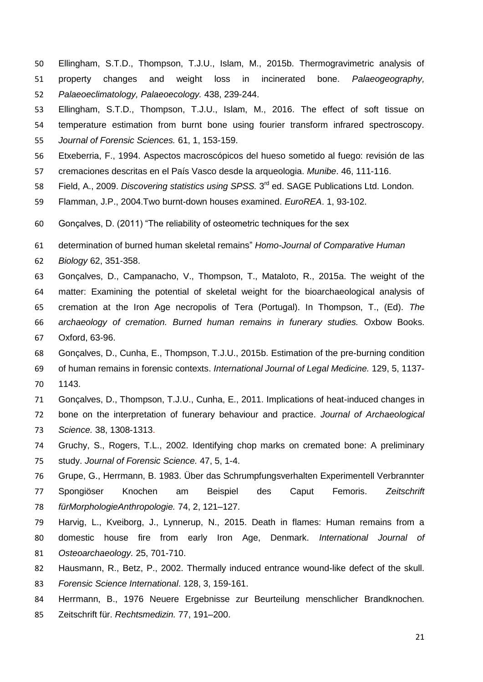- Ellingham, S.T.D., Thompson, T.J.U., Islam, M., 2015b. Thermogravimetric analysis of property changes and weight loss in incinerated bone. *Palaeogeography, Palaeoeclimatology, Palaeoecology.* 438, 239-244.
- Ellingham, S.T.D., Thompson, T.J.U., Islam, M., 2016. The effect of soft tissue on
- temperature estimation from burnt bone using fourier transform infrared spectroscopy.
- *Journal of Forensic Sciences.* 61, 1, 153-159.
- Etxeberria, F., 1994. Aspectos macroscópicos del hueso sometido al fuego: revisión de las
- cremaciones descritas en el País Vasco desde la arqueologia. *Munibe*. 46, 111-116.
- 58 Field, A., 2009. *Discovering statistics using SPSS.* 3<sup>rd</sup> ed. SAGE Publications Ltd. London.
- Flamman, J.P., 2004.Two burnt-down houses examined. *EuroREA*. 1, 93-102.
- Gonçalves, D. (2011) "The reliability of osteometric techniques for the sex
- determination of burned human skeletal remains" *Homo-Journal of Comparative Human*
- *Biology* 62, 351-358.
- Gonçalves, D., Campanacho, V., Thompson, T., Mataloto, R., 2015a. The weight of the
- matter: Examining the potential of skeletal weight for the bioarchaeological analysis of
- cremation at the Iron Age necropolis of Tera (Portugal). In Thompson, T., (Ed). *The*
- *archaeology of cremation. Burned human remains in funerary studies.* Oxbow Books.
- Oxford, 63-96.
- Gonçalves, D., Cunha, E., Thompson, T.J.U., 2015b. Estimation of the pre-burning condition of human remains in forensic contexts. *International Journal of Legal Medicine.* 129, 5, 1137-
- 1143.
- Gonçalves, D., Thompson, T.J.U., Cunha, E., 2011. Implications of heat-induced changes in
- bone on the interpretation of funerary behaviour and practice. *Journal of Archaeological Science.* 38, 1308-1313.
- Gruchy, S., Rogers, T.L., 2002. Identifying chop marks on cremated bone: A preliminary study. *Journal of Forensic Science.* 47, 5, 1-4.
- Grupe, G., Herrmann, B. 1983. Über das Schrumpfungsverhalten Experimentell Verbrannter Spongiöser Knochen am Beispiel des Caput Femoris. *Zeitschrift fürMorphologieAnthropologie.* 74, 2, 121–127.
- Harvig, L., Kveiborg, J., Lynnerup, N., 2015. Death in flames: Human remains from a domestic house fire from early Iron Age, Denmark. *International Journal of Osteoarchaeology.* 25, 701-710.
- Hausmann, R., Betz, P., 2002. Thermally induced entrance wound-like defect of the skull.
- *Forensic Science International*. 128, 3, 159-161.
- Herrmann, B., 1976 Neuere Ergebnisse zur Beurteilung menschlicher Brandknochen.
- Zeitschrift für. *Rechtsmedizin.* 77, 191–200.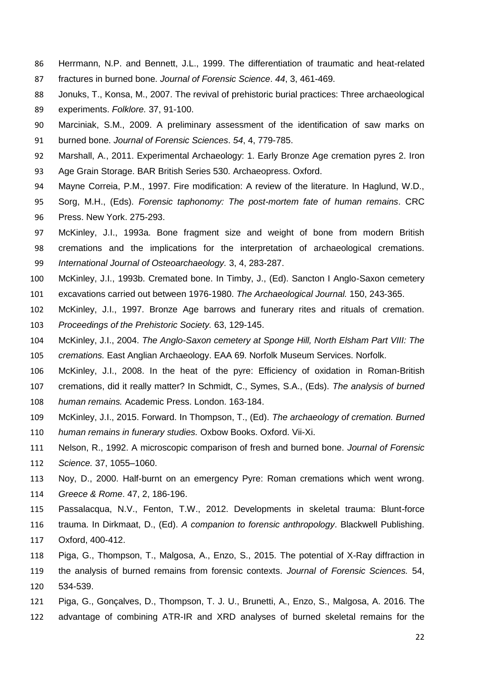- Herrmann, N.P. and Bennett, J.L., 1999. The differentiation of traumatic and heat-related fractures in burned bone. *Journal of Forensic Science*. *44*, 3, 461-469.
- Jonuks, T., Konsa, M., 2007. The revival of prehistoric burial practices: Three archaeological experiments. *Folklore.* 37, 91-100.
- Marciniak, S.M., 2009. A preliminary assessment of the identification of saw marks on
- burned bone. *Journal of Forensic Sciences*. *54*, 4, 779-785.
- Marshall, A., 2011. Experimental Archaeology: 1. Early Bronze Age cremation pyres 2. Iron Age Grain Storage. BAR British Series 530. Archaeopress. Oxford.
- Mayne Correia, P.M., 1997. Fire modification: A review of the literature. In Haglund, W.D.,
- Sorg, M.H., (Eds). *Forensic taphonomy: The post-mortem fate of human remains*. CRC Press. New York. 275-293.
- McKinley, J.I., 1993a. Bone fragment size and weight of bone from modern British cremations and the implications for the interpretation of archaeological cremations. *International Journal of Osteoarchaeology.* 3, 4, 283-287.
- McKinley, J.I., 1993b. Cremated bone. In Timby, J., (Ed). Sancton I Anglo-Saxon cemetery excavations carried out between 1976-1980. *The Archaeological Journal.* 150, 243-365.
- McKinley, J.I., 1997. Bronze Age barrows and funerary rites and rituals of cremation.
- *Proceedings of the Prehistoric Society.* 63, 129-145.
- McKinley, J.I., 2004. *The Anglo-Saxon cemetery at Sponge Hill, North Elsham Part VIII: The*
- *cremations.* East Anglian Archaeology. EAA 69. Norfolk Museum Services. Norfolk.
- McKinley, J.I., 2008. In the heat of the pyre: Efficiency of oxidation in Roman-British cremations, did it really matter? In Schmidt, C., Symes, S.A., (Eds). *The analysis of burned human remains.* Academic Press. London. 163-184.
- McKinley, J.I., 2015. Forward. In Thompson, T., (Ed). *The archaeology of cremation. Burned human remains in funerary studies.* Oxbow Books. Oxford. Vii-Xi.
- Nelson, R., 1992. A microscopic comparison of fresh and burned bone. *Journal of Forensic Science.* 37, 1055–1060.
- Noy, D., 2000. Half-burnt on an emergency Pyre: Roman cremations which went wrong.
- *Greece & Rome*. 47, 2, 186-196.
- Passalacqua, N.V., Fenton, T.W., 2012. Developments in skeletal trauma: Blunt-force
- trauma. In Dirkmaat, D., (Ed). *A companion to forensic anthropology*. Blackwell Publishing. Oxford, 400-412.
- Piga, G., Thompson, T., Malgosa, A., Enzo, S., 2015. The potential of X-Ray diffraction in the analysis of burned remains from forensic contexts. *Journal of Forensic Sciences.* 54, 534-539.
- Piga, G., Gonçalves, D., Thompson, T. J. U., Brunetti, A., Enzo, S., Malgosa, A. 2016. The advantage of combining ATR-IR and XRD analyses of burned skeletal remains for the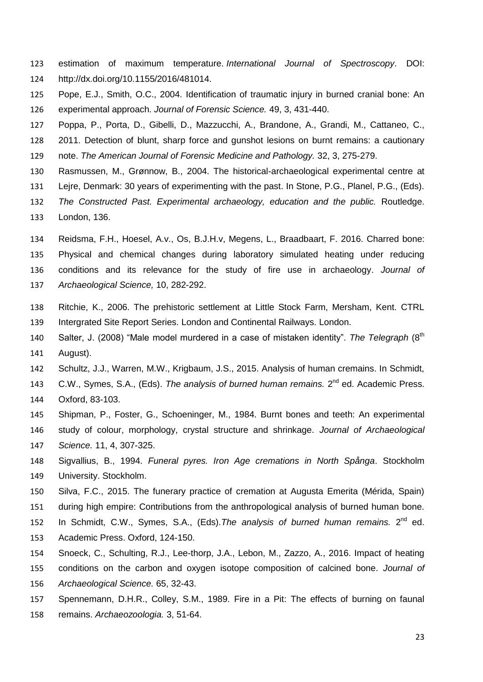- estimation of maximum temperature. *International Journal of Spectroscopy*. DOI: http://dx.doi.org/10.1155/2016/481014.
- Pope, E.J., Smith, O.C., 2004. Identification of traumatic injury in burned cranial bone: An experimental approach. *Journal of Forensic Science.* 49, 3, 431-440.
- Poppa, P., Porta, D., Gibelli, D., Mazzucchi, A., Brandone, A., Grandi, M., Cattaneo, C.,
- 2011. Detection of blunt, sharp force and gunshot lesions on burnt remains: a cautionary
- note. *The American Journal of Forensic Medicine and Pathology.* 32, 3, 275-279.
- Rasmussen, M., Grønnow, B., 2004. The historical-archaeological experimental centre at
- Lejre, Denmark: 30 years of experimenting with the past. In Stone, P.G., Planel, P.G., (Eds).
- *The Constructed Past. Experimental archaeology, education and the public.* Routledge.
- London, 136.
- Reidsma, F.H., Hoesel, A.v., Os, B.J.H.v, Megens, L., Braadbaart, F. 2016. Charred bone:
- Physical and chemical changes during laboratory simulated heating under reducing conditions and its relevance for the study of fire use in archaeology. *Journal of Archaeological Science,* 10, 282-292.
- Ritchie, K., 2006. The prehistoric settlement at Little Stock Farm, Mersham, Kent. CTRL Intergrated Site Report Series. London and Continental Railways. London.
- 140 Salter, J. (2008) "Male model murdered in a case of mistaken identity". *The Telegraph* (8<sup>th</sup> August).
- Schultz, J.J., Warren, M.W., Krigbaum, J.S., 2015. Analysis of human cremains. In Schmidt,
- 143 C.W., Symes, S.A., (Eds). The analysis of burned human remains. 2<sup>nd</sup> ed. Academic Press. Oxford, 83-103.
- Shipman, P., Foster, G., Schoeninger, M., 1984. Burnt bones and teeth: An experimental study of colour, morphology, crystal structure and shrinkage. *Journal of Archaeological Science.* 11, 4, 307-325.
- Sigvallius, B., 1994. *Funeral pyres. Iron Age cremations in North Spånga*. Stockholm University. Stockholm.
- Silva, F.C., 2015. The funerary practice of cremation at Augusta Emerita (Mérida, Spain) during high empire: Contributions from the anthropological analysis of burned human bone.
- 152 In Schmidt, C.W., Symes, S.A., (Eds). The analysis of burned human remains. 2<sup>nd</sup> ed.
- Academic Press. Oxford, 124-150.
- Snoeck, C., Schulting, R.J., Lee-thorp, J.A., Lebon, M., Zazzo, A., 2016. Impact of heating
- conditions on the carbon and oxygen isotope composition of calcined bone. *Journal of*
- *Archaeological Science.* 65, 32-43.
- Spennemann, D.H.R., Colley, S.M., 1989. Fire in a Pit: The effects of burning on faunal remains. *Archaeozoologia.* 3, 51-64.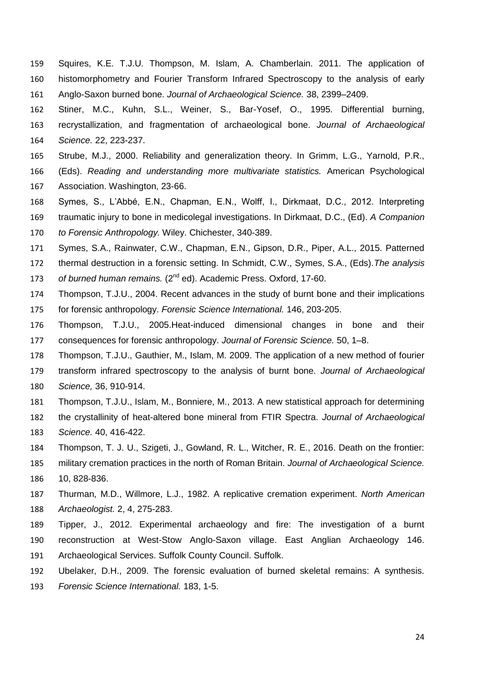- Squires, K.E. T.J.U. Thompson, M. Islam, A. Chamberlain. 2011. The application of histomorphometry and Fourier Transform Infrared Spectroscopy to the analysis of early Anglo-Saxon burned bone. *Journal of Archaeological Science.* 38, 2399–2409.
- Stiner, M.C., Kuhn, S.L., Weiner, S., Bar-Yosef, O., 1995. Differential burning, recrystallization, and fragmentation of archaeological bone. *Journal of Archaeological Science.* 22, 223-237.
- Strube, M.J., 2000. Reliability and generalization theory. In Grimm, L.G., Yarnold, P.R.,
- (Eds). *Reading and understanding more multivariate statistics.* American Psychological Association. Washington, 23-66.
- Symes, S., L'Abbé, E.N., Chapman, E.N., Wolff, I., Dirkmaat, D.C., 2012. Interpreting
- traumatic injury to bone in medicolegal investigations. In Dirkmaat, D.C., (Ed). *A Companion to Forensic Anthropology.* Wiley. Chichester, 340-389.
- Symes, S.A., Rainwater, C.W., Chapman, E.N., Gipson, D.R., Piper, A.L., 2015. Patterned
- thermal destruction in a forensic setting. In Schmidt, C.W., Symes, S.A., (Eds).*The analysis*
- 173 of burned human remains. (2<sup>nd</sup> ed). Academic Press. Oxford, 17-60.
- Thompson, T.J.U., 2004. Recent advances in the study of burnt bone and their implications for forensic anthropology. *Forensic Science International.* 146, 203-205.
- Thompson, T.J.U., 2005.Heat-induced dimensional changes in bone and their
- consequences for forensic anthropology. *Journal of Forensic Science.* 50, 1–8.
- Thompson, T.J.U., Gauthier, M., Islam, M. 2009. The application of a new method of fourier
- transform infrared spectroscopy to the analysis of burnt bone. *Journal of Archaeological Science,* 36, 910-914.
- Thompson, T.J.U., Islam, M., Bonniere, M., 2013. A new statistical approach for determining
- the crystallinity of heat-altered bone mineral from FTIR Spectra. *Journal of Archaeological Science.* 40, 416-422.
- Thompson, T. J. U., Szigeti, J., Gowland, R. L., Witcher, R. E., 2016. Death on the frontier:
- military cremation practices in the north of Roman Britain. *Journal of Archaeological Science.* 10, 828-836.
- Thurman, M.D., Willmore, L.J., 1982. A replicative cremation experiment. *North American Archaeologist.* 2, 4, 275-283.
- Tipper, J., 2012. Experimental archaeology and fire: The investigation of a burnt reconstruction at West-Stow Anglo-Saxon village. East Anglian Archaeology 146. Archaeological Services. Suffolk County Council. Suffolk.
- Ubelaker, D.H., 2009. The forensic evaluation of burned skeletal remains: A synthesis.
- *Forensic Science International.* 183, 1-5.